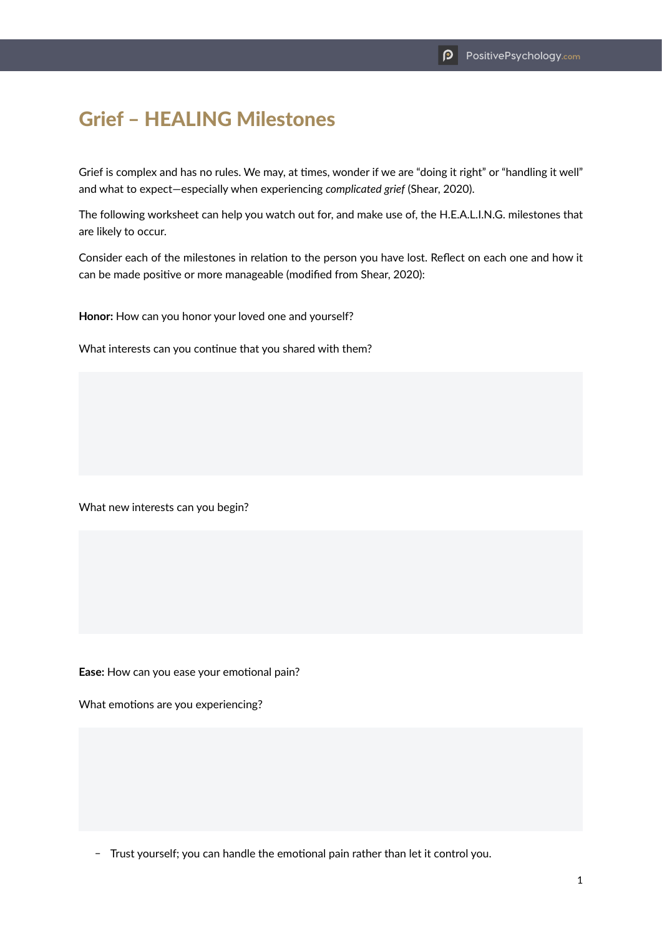## Grief – HEALING Milestones

Grief is complex and has no rules. We may, at times, wonder if we are "doing it right" or "handling it well" and what to expect—especially when experiencing *complicated grief* (Shear, 2020).

The following worksheet can help you watch out for, and make use of, the H.E.A.L.I.N.G. milestones that are likely to occur.

Consider each of the milestones in relation to the person you have lost. Reflect on each one and how it can be made positive or more manageable (modified from Shear, 2020):

**Honor:** How can you honor your loved one and yourself?

What interests can you continue that you shared with them?

What new interests can you begin?

**Ease:** How can you ease your emotional pain?

What emotions are you experiencing?

- Trust yourself; you can handle the emotional pain rather than let it control you.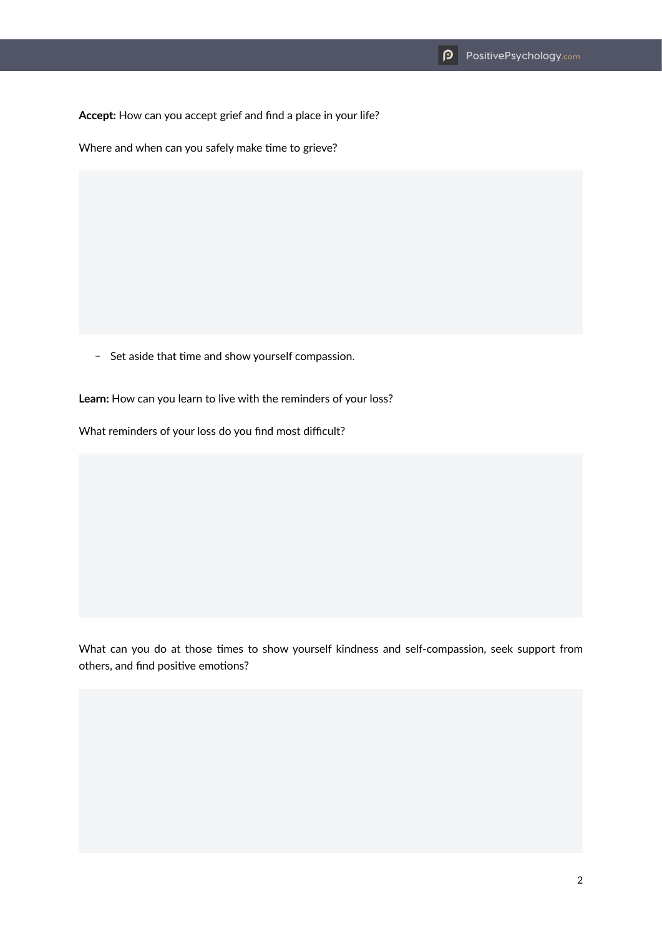**Accept:** How can you accept grief and find a place in your life?

Where and when can you safely make time to grieve?

- Set aside that time and show yourself compassion.

Learn: How can you learn to live with the reminders of your loss?

What reminders of your loss do you find most difficult?

What can you do at those times to show yourself kindness and self-compassion, seek support from others, and find positive emotions?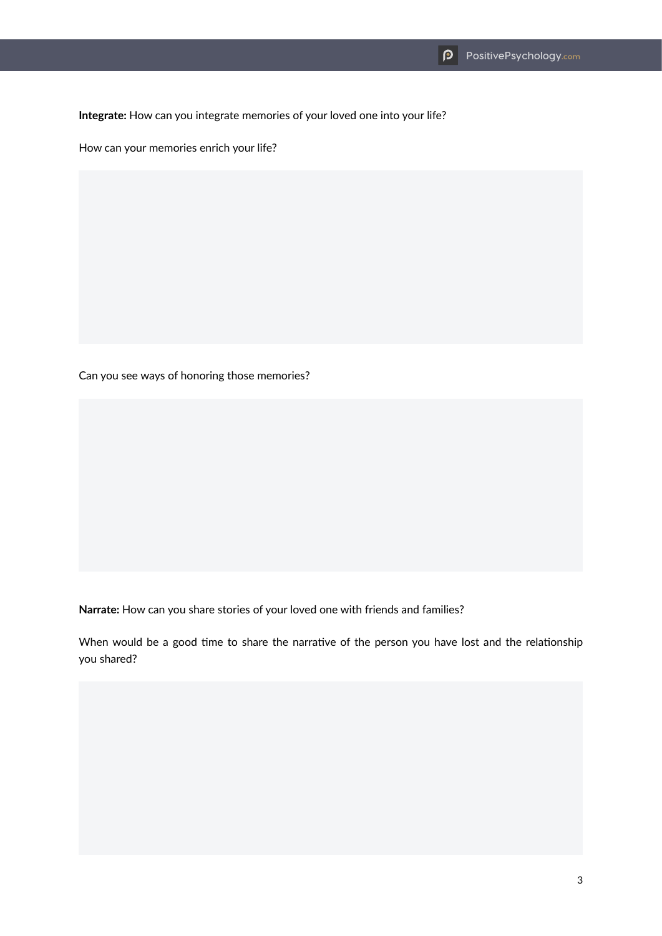**Integrate:** How can you integrate memories of your loved one into your life?

How can your memories enrich your life?

Can you see ways of honoring those memories?

**Narrate:** How can you share stories of your loved one with friends and families?

When would be a good time to share the narrative of the person you have lost and the relationship you shared?